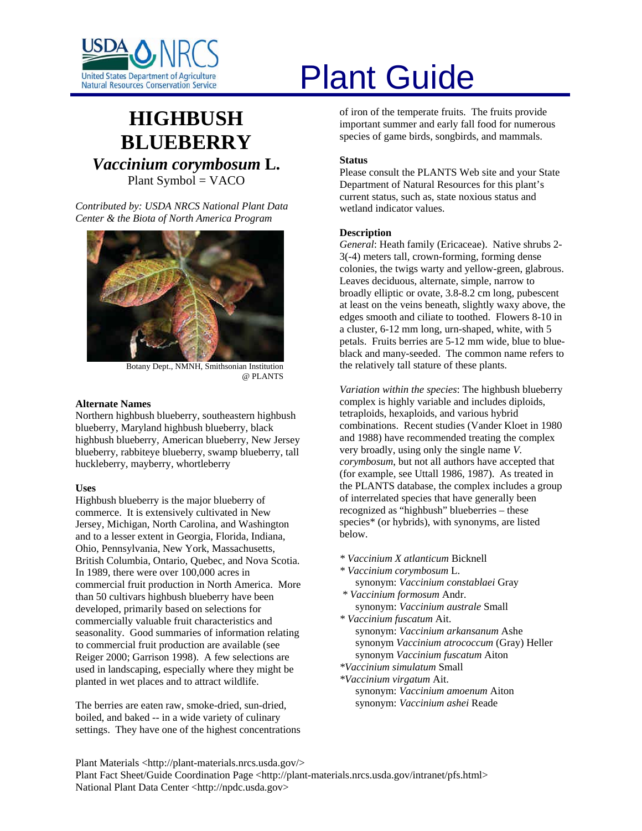

## **HIGHBUSH BLUEBERRY** *Vaccinium corymbosum* **L.**  Plant Symbol = VACO

*Contributed by: USDA NRCS National Plant Data Center & the Biota of North America Program* 



Botany Dept., NMNH, Smithsonian Institution @ PLANTS

#### **Alternate Names**

Northern highbush blueberry, southeastern highbush blueberry, Maryland highbush blueberry, black highbush blueberry, American blueberry, New Jersey blueberry, rabbiteye blueberry, swamp blueberry, tall huckleberry, mayberry, whortleberry

#### **Uses**

Highbush blueberry is the major blueberry of commerce. It is extensively cultivated in New Jersey, Michigan, North Carolina, and Washington and to a lesser extent in Georgia, Florida, Indiana, Ohio, Pennsylvania, New York, Massachusetts, British Columbia, Ontario, Quebec, and Nova Scotia. In 1989, there were over 100,000 acres in commercial fruit production in North America. More than 50 cultivars highbush blueberry have been developed, primarily based on selections for commercially valuable fruit characteristics and seasonality. Good summaries of information relating to commercial fruit production are available (see Reiger 2000; Garrison 1998). A few selections are used in landscaping, especially where they might be planted in wet places and to attract wildlife.

The berries are eaten raw, smoke-dried, sun-dried, boiled, and baked -- in a wide variety of culinary settings. They have one of the highest concentrations

# United States Department of Agriculture<br>Natural Resources Conservation Service

of iron of the temperate fruits. The fruits provide important summer and early fall food for numerous species of game birds, songbirds, and mammals.

#### **Status**

Please consult the PLANTS Web site and your State Department of Natural Resources for this plant's current status, such as, state noxious status and wetland indicator values.

#### **Description**

*General*: Heath family (Ericaceae). Native shrubs 2- 3(-4) meters tall, crown-forming, forming dense colonies, the twigs warty and yellow-green, glabrous. Leaves deciduous, alternate, simple, narrow to broadly elliptic or ovate, 3.8-8.2 cm long, pubescent at least on the veins beneath, slightly waxy above, the edges smooth and ciliate to toothed. Flowers 8-10 in a cluster, 6-12 mm long, urn-shaped, white, with 5 petals. Fruits berries are 5-12 mm wide, blue to blueblack and many-seeded. The common name refers to the relatively tall stature of these plants.

*Variation within the species*: The highbush blueberry complex is highly variable and includes diploids, tetraploids, hexaploids, and various hybrid combinations. Recent studies (Vander Kloet in 1980 and 1988) have recommended treating the complex very broadly, using only the single name *V. corymbosum*, but not all authors have accepted that (for example, see Uttall 1986, 1987). As treated in the PLANTS database, the complex includes a group of interrelated species that have generally been recognized as "highbush" blueberries – these species\* (or hybrids), with synonyms, are listed below.

- *\* Vaccinium X atlanticum* Bicknell
- *\* Vaccinium corymbosum* L. synonym: *Vaccinium constablaei* Gray
- *\* Vaccinium formosum* Andr. synonym: *Vaccinium australe* Small
- *\* Vaccinium fuscatum* Ait. synonym: *Vaccinium arkansanum* Ashe synonym *Vaccinium atrococcum* (Gray) Heller synonym *Vaccinium fuscatum* Aiton *\*Vaccinium simulatum* Small
- *\*Vaccinium virgatum* Ait. synonym: *Vaccinium amoenum* Aiton synonym: *Vaccinium ashei* Reade

Plant Materials <http://plant-materials.nrcs.usda.gov/> Plant Fact Sheet/Guide Coordination Page <http://plant-materials.nrcs.usda.gov/intranet/pfs.html> National Plant Data Center <http://npdc.usda.gov>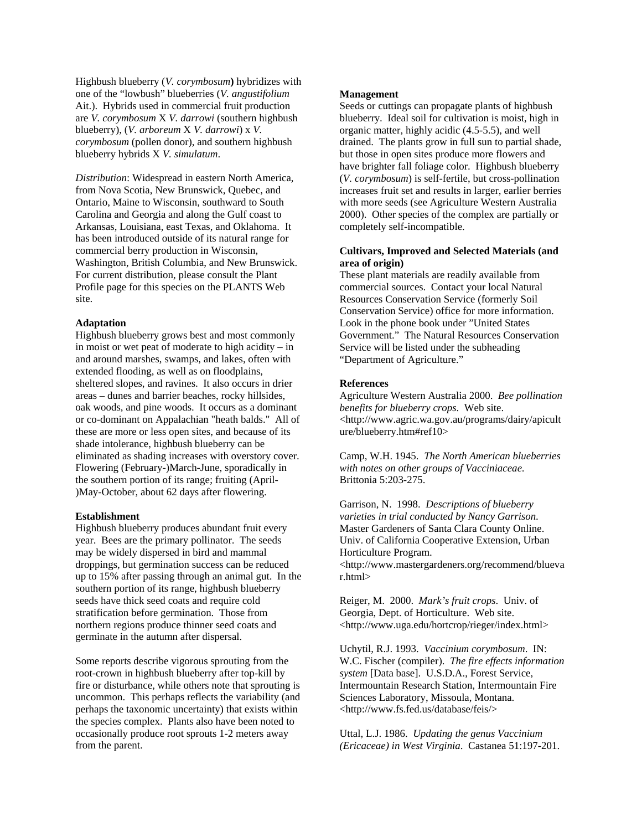Highbush blueberry (*V. corymbosum***)** hybridizes with one of the "lowbush" blueberries (*V. angustifolium* Ait.). Hybrids used in commercial fruit production are *V. corymbosum* X *V. darrowi* (southern highbush blueberry), (*V. arboreum* X *V. darrowi*) x *V. corymbosum* (pollen donor), and southern highbush blueberry hybrids X *V. simulatum*.

*Distribution*: Widespread in eastern North America, from Nova Scotia, New Brunswick, Quebec, and Ontario, Maine to Wisconsin, southward to South Carolina and Georgia and along the Gulf coast to Arkansas, Louisiana, east Texas, and Oklahoma. It has been introduced outside of its natural range for commercial berry production in Wisconsin, Washington, British Columbia, and New Brunswick. For current distribution, please consult the Plant Profile page for this species on the PLANTS Web site.

#### **Adaptation**

Highbush blueberry grows best and most commonly in moist or wet peat of moderate to high acidity – in and around marshes, swamps, and lakes, often with extended flooding, as well as on floodplains, sheltered slopes, and ravines. It also occurs in drier areas – dunes and barrier beaches, rocky hillsides, oak woods, and pine woods. It occurs as a dominant or co-dominant on Appalachian "heath balds." All of these are more or less open sites, and because of its shade intolerance, highbush blueberry can be eliminated as shading increases with overstory cover. Flowering (February-)March-June, sporadically in the southern portion of its range; fruiting (April- )May-October, about 62 days after flowering.

#### **Establishment**

Highbush blueberry produces abundant fruit every year. Bees are the primary pollinator. The seeds may be widely dispersed in bird and mammal droppings, but germination success can be reduced up to 15% after passing through an animal gut. In the southern portion of its range, highbush blueberry seeds have thick seed coats and require cold stratification before germination. Those from northern regions produce thinner seed coats and germinate in the autumn after dispersal.

Some reports describe vigorous sprouting from the root-crown in highbush blueberry after top-kill by fire or disturbance, while others note that sprouting is uncommon. This perhaps reflects the variability (and perhaps the taxonomic uncertainty) that exists within the species complex. Plants also have been noted to occasionally produce root sprouts 1-2 meters away from the parent.

#### **Management**

Seeds or cuttings can propagate plants of highbush blueberry. Ideal soil for cultivation is moist, high in organic matter, highly acidic (4.5-5.5), and well drained. The plants grow in full sun to partial shade, but those in open sites produce more flowers and have brighter fall foliage color. Highbush blueberry (*V. corymbosum*) is self-fertile, but cross-pollination increases fruit set and results in larger, earlier berries with more seeds (see Agriculture Western Australia 2000). Other species of the complex are partially or completely self-incompatible.

#### **Cultivars, Improved and Selected Materials (and area of origin)**

These plant materials are readily available from commercial sources. Contact your local Natural Resources Conservation Service (formerly Soil Conservation Service) office for more information. Look in the phone book under "United States Government." The Natural Resources Conservation Service will be listed under the subheading "Department of Agriculture."

#### **References**

Agriculture Western Australia 2000. *Bee pollination benefits for blueberry crops*. Web site. <http://www.agric.wa.gov.au/programs/dairy/apicult ure/blueberry.htm#ref10>

Camp, W.H. 1945. *The North American blueberries with notes on other groups of Vacciniaceae*. Brittonia 5:203-275.

Garrison, N. 1998. *Descriptions of blueberry varieties in trial conducted by Nancy Garrison*. Master Gardeners of Santa Clara County Online. Univ. of California Cooperative Extension, Urban Horticulture Program. <http://www.mastergardeners.org/recommend/blueva r.html>

Reiger, M. 2000. *Mark's fruit crops*. Univ. of Georgia, Dept. of Horticulture. Web site. <http://www.uga.edu/hortcrop/rieger/index.html>

Uchytil, R.J. 1993. *Vaccinium corymbosum*. IN: W.C. Fischer (compiler). *The fire effects information system* [Data base]. U.S.D.A., Forest Service, Intermountain Research Station, Intermountain Fire Sciences Laboratory, Missoula, Montana. <http://www.fs.fed.us/database/feis/>

Uttal, L.J. 1986. *Updating the genus Vaccinium (Ericaceae) in West Virginia*. Castanea 51:197-201.